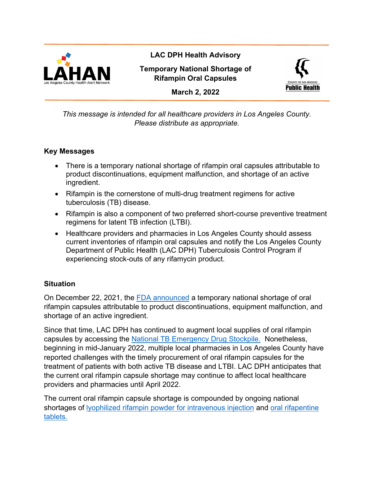

**LAC DPH Health Advisory**

**Temporary National Shortage of Rifampin Oral Capsules**



**March 2, 2022**

*This message is intended for all healthcare providers in Los Angeles County. Please distribute as appropriate.*

### **Key Messages**

- There is a temporary national shortage of rifampin oral capsules attributable to product discontinuations, equipment malfunction, and shortage of an active ingredient.
- Rifampin is the cornerstone of multi-drug treatment regimens for active tuberculosis (TB) disease.
- Rifampin is also a component of two preferred short-course preventive treatment regimens for latent TB infection (LTBI).
- Healthcare providers and pharmacies in Los Angeles County should assess current inventories of rifampin oral capsules and notify the Los Angeles County Department of Public Health (LAC DPH) Tuberculosis Control Program if experiencing stock-outs of any rifamycin product.

#### **Situation**

On December 22, 2021, the [FDA announced](https://www.accessdata.fda.gov/scripts/drugshortages/dsp_ActiveIngredientDetails.cfm?AI=Rifampin%20Capsules&st=c) a temporary national shortage of oral rifampin capsules attributable to product discontinuations, equipment malfunction, and shortage of an active ingredient.

Since that time, LAC DPH has continued to augment local supplies of oral rifampin capsules by accessing the [National TB Emergency Drug Stockpile.](https://www.tbcontrollers.org/docs/noteworthy/2021-12-22_Rifampin_Shortage_and_TB_Emergency_Stockpile_DA.pdf) Nonetheless, beginning in mid-January 2022, multiple local pharmacies in Los Angeles County have reported challenges with the timely procurement of oral rifampin capsules for the treatment of patients with both active TB disease and LTBI. LAC DPH anticipates that the current oral rifampin capsule shortage may continue to affect local healthcare providers and pharmacies until April 2022.

The current oral rifampin capsule shortage is compounded by ongoing national shortages of [lyophilized rifampin powder for intravenous injection](https://www.accessdata.fda.gov/scripts/drugshortages/dsp_ActiveIngredientDetails.cfm?AI=Rifampin%20Injection&st=c) and [oral rifapentine](https://www.accessdata.fda.gov/scripts/drugshortages/dsp_ActiveIngredientDetails.cfm?AI=Rifapentine%20Tablets&st=c)  [tablets.](https://www.accessdata.fda.gov/scripts/drugshortages/dsp_ActiveIngredientDetails.cfm?AI=Rifapentine%20Tablets&st=c)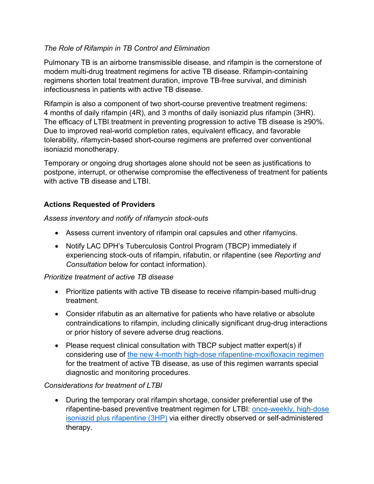### *The Role of Rifampin in TB Control and Elimination*

Pulmonary TB is an airborne transmissible disease, and rifampin is the cornerstone of modern multi-drug treatment regimens for active TB disease. Rifampin-containing regimens shorten total treatment duration, improve TB-free survival, and diminish infectiousness in patients with active TB disease.

Rifampin is also a component of two short-course preventive treatment regimens: 4 months of daily rifampin (4R), and 3 months of daily isoniazid plus rifampin (3HR). The efficacy of LTBI treatment in preventing progression to active TB disease is ≥90%. Due to improved real-world completion rates, equivalent efficacy, and favorable tolerability, rifamycin-based short-course regimens are preferred over conventional isoniazid monotherapy.

Temporary or ongoing drug shortages alone should not be seen as justifications to postpone, interrupt, or otherwise compromise the effectiveness of treatment for patients with active TB disease and LTBI.

# **Actions Requested of Providers**

*Assess inventory and notify of rifamycin stock-outs*

- Assess current inventory of rifampin oral capsules and other rifamycins.
- Notify LAC DPH's Tuberculosis Control Program (TBCP) immediately if experiencing stock-outs of rifampin, rifabutin, or rifapentine (see *Reporting and Consultation* below for contact information).

#### *Prioritize treatment of active TB disease*

- Prioritize patients with active TB disease to receive rifampin-based multi-drug treatment.
- Consider rifabutin as an alternative for patients who have relative or absolute contraindications to rifampin, including clinically significant drug-drug interactions or prior history of severe adverse drug reactions.
- Please request clinical consultation with TBCP subject matter expert(s) if considering use of [the new 4-month high-dose rifapentine-moxifloxacin regimen](https://www.cdc.gov/mmwr/volumes/71/wr/mm7108a1.htm) for the treatment of active TB disease, as use of this regimen warrants special diagnostic and monitoring procedures.

#### *Considerations for treatment of LTBI*

• During the temporary oral rifampin shortage, consider preferential use of the rifapentine-based preventive treatment regimen for LTBI: [once-weekly, high-dose](http://ph.lacounty.gov/tb/docs/3HP%20for%20treatment%20of%20TB%20infection%203.26.21.pdf)  [isoniazid plus rifapentine \(3HP\)](http://ph.lacounty.gov/tb/docs/3HP%20for%20treatment%20of%20TB%20infection%203.26.21.pdf) via either directly observed or self-administered therapy.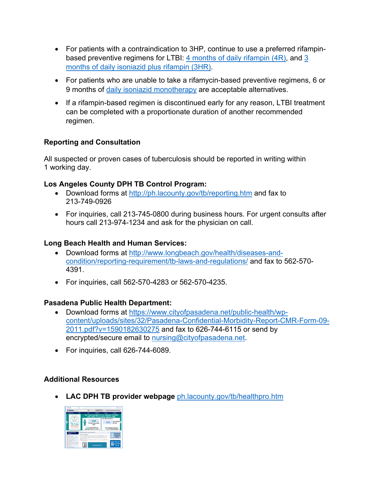- For patients with a contraindication to 3HP, continue to use a preferred rifampin-based preventive regimens for LTBI: [4 months of daily rifampin \(4R\),](http://ph.lacounty.gov/tb/docs/Rifampin%20for%20the%20Treatment%20of%20TB%20Infection%203.26.21.pdf) and 3 [months of daily isoniazid plus rifampin \(3HR\).](https://www.cdc.gov/mmwr/volumes/69/rr/pdfs/rr6901a1-H.pdf)
- For patients who are unable to take a rifamycin-based preventive regimens, 6 or 9 months of [daily isoniazid monotherapy](http://ph.lacounty.gov/tb/docs/INH-TreatmentTB-Infection_4-25.pdf) are acceptable alternatives.
- If a rifampin-based regimen is discontinued early for any reason, LTBI treatment can be completed with a proportionate duration of another recommended regimen.

#### **Reporting and Consultation**

All suspected or proven cases of tuberculosis should be reported in writing within 1 working day.

#### **Los Angeles County DPH TB Control Program:**

- Download forms at<http://ph.lacounty.gov/tb/reporting.htm> and fax to 213-749-0926
- For inquiries, call 213-745-0800 during business hours. For urgent consults after hours call 213-974-1234 and ask for the physician on call.

## **Long Beach Health and Human Services:**

- Download forms at [http://www.longbeach.gov/health/diseases-and](https://www.longbeach.gov/health/diseases-and-condition/reporting-requirement/tb-laws-and-regulations)[condition/reporting-requirement/tb-laws-and-regulations/](https://www.longbeach.gov/health/diseases-and-condition/reporting-requirement/tb-laws-and-regulations) and fax to 562-570- 4391.
- For inquiries, call 562-570-4283 or 562-570-4235.

#### **Pasadena Public Health Department:**

- Download forms at [https://www.cityofpasadena.net/public-health/wp](https://www.cityofpasadena.net/public-health/wp-content/uploads/sites/32/Pasadena-Confidential-Morbidity-Report-CMR-Form-09-2011.pdf?v=1590182630275)[content/uploads/sites/32/Pasadena-Confidential-Morbidity-Report-CMR-Form-](https://www.cityofpasadena.net/public-health/wp-content/uploads/sites/32/Pasadena-Confidential-Morbidity-Report-CMR-Form-09-2011.pdf?v=1590182630275)09- [2011.pdf?v=1590182630275](https://www.cityofpasadena.net/public-health/wp-content/uploads/sites/32/Pasadena-Confidential-Morbidity-Report-CMR-Form-09-2011.pdf?v=1590182630275) and fax to 626-744-6115 or send by encrypted/secure email to nursing@cityofpasadena.net.
- For inquiries, call 626-744-6089.

# **Additional Resources**

• **LAC DPH TB provider webpage** [ph.lacounty.gov/tb/healthpro.htm](http://www.publichealth.lacounty.gov/tb/healthpro.htm)